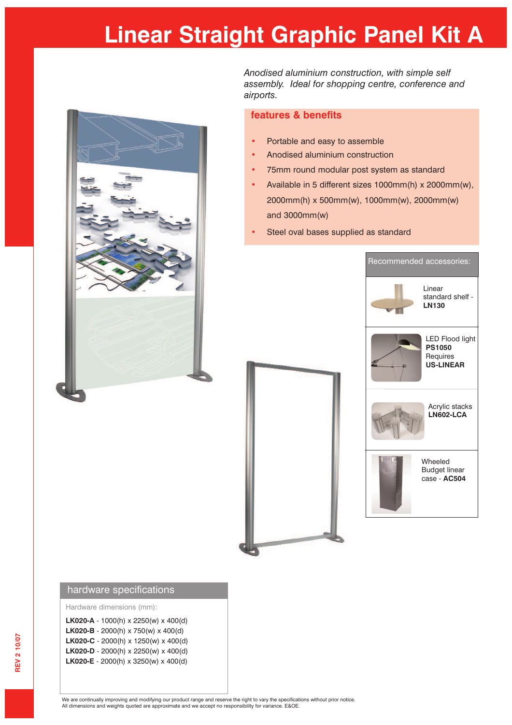## **Linear Straight Graphic Panel Kit A**



*Anodised aluminium construction, with simple self assembly. Ideal for shopping centre, conference and airports.*

## **features & benefits**

- **•** Portable and easy to assemble
- **•** Anodised aluminium construction
- **•** 75mm round modular post system as standard
- **•** Available in 5 different sizes 1000mm(h) x 2000mm(w), 2000mm(h) x 500mm(w), 1000mm(w), 2000mm(w) and 3000mm(w)
- **•** Steel oval bases supplied as standard





Hardware dimensions (mm):

|  | <b>LK020-A</b> - 1000(h) x 2250(w) x 400(d) |  |
|--|---------------------------------------------|--|
|  | LK020-B - 2000(h) x 750(w) x 400(d)         |  |
|  | LK020-C - 2000(h) x 1250(w) x 400(d)        |  |
|  | LK020-D - 2000(h) x 2250(w) x 400(d)        |  |
|  | <b>LK020-E</b> - 2000(h) x 3250(w) x 400(d) |  |
|  |                                             |  |

We are continually improving and modifying our product range and reserve the right to vary the specifications without prior notice.<br>All dimensions and weights quoted are approximate and we accept no responsibility for vari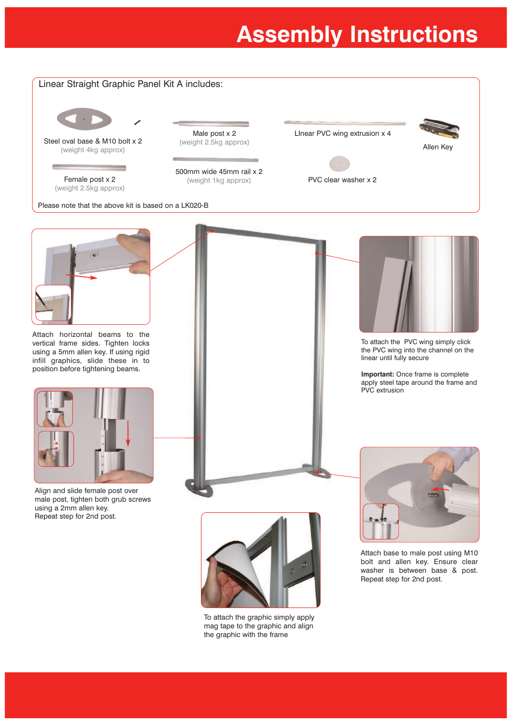## **Assembly Instructions**